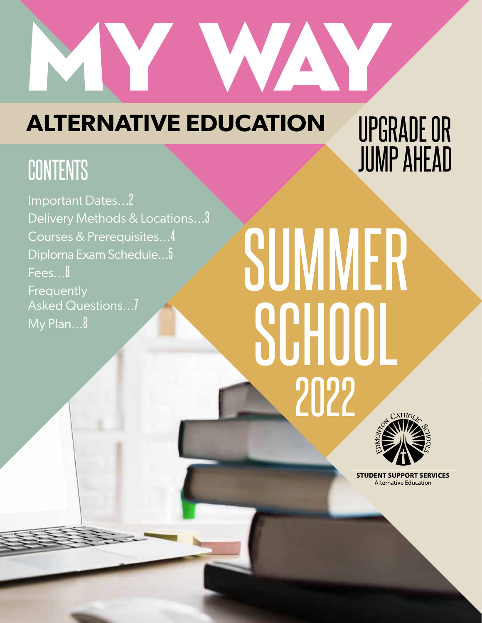

### **ALTERNATIVE EDUCATION**

Important Dates...2 Delivery Methods & Locations...3 Courses & Prerequisites...4 Diploma Exam Schedule...5 Fees...<sup>6</sup> Frequently Asked Questions...7 My Plan...8

### UPGRADE OR CONTENTS **SUMP AHEAD**

# SUMMER SCHOOI 2022



**STUDENT SUPPORT SERVICES Alternative Education**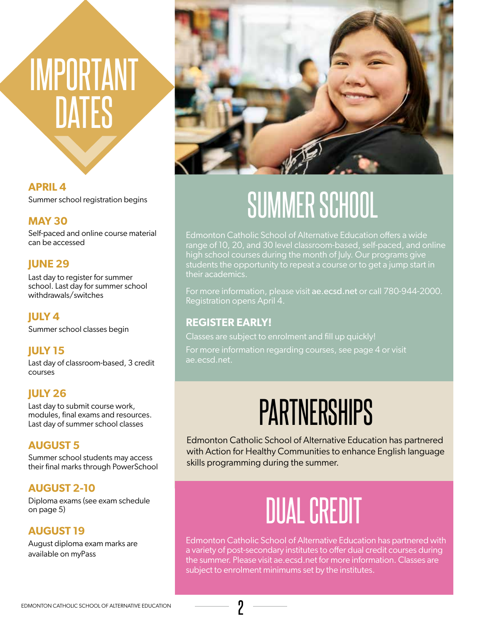## IMPORTANT **DATES**

**APRIL 4** Summer school registration begins

### **MAY 30**

Self-paced and online course material can be accessed

### **JUNE 29**

Last day to register for summer school. Last day for summer school withdrawals/switches

### **JULY 4**

Summer school classes begin

### **JULY 15**

Last day of classroom-based, 3 credit courses

### **JULY 26**

Last day to submit course work, modules, final exams and resources. Last day of summer school classes

### **AUGUST 5**

Summer school students may access their final marks through PowerSchool

### **AUGUST 2-10**

Diploma exams (see exam schedule on page 5)

### **AUGUST 19**

August diploma exam marks are available on myPass



### SUMMER SCHOOL

Edmonton Catholic School of Alternative Education offers a wide range of 10, 20, and 30 level classroom-based, self-paced, and online high school courses during the month of July. Our programs give students the opportunity to repeat a course or to get a jump start in their academics.

For more information, please visit ae.ecsd.net or call 780-944-2000. Registration opens April 4.

### **REGISTER EARLY!**

Classes are subject to enrolment and fill up quickly!

For more information regarding courses, see page 4 or visit ae.ecsd.net.

### **PARTNERSHIPS**

Edmonton Catholic School of Alternative Education has partnered with Action for Healthy Communities to enhance English language skills programming during the summer.

### DUAL CREDIT

Edmonton Catholic School of Alternative Education has partnered with a variety of post-secondary institutes to offer dual credit courses during the summer. Please visit ae.ecsd.net for more information. Classes are subject to enrolment minimums set by the institutes.

2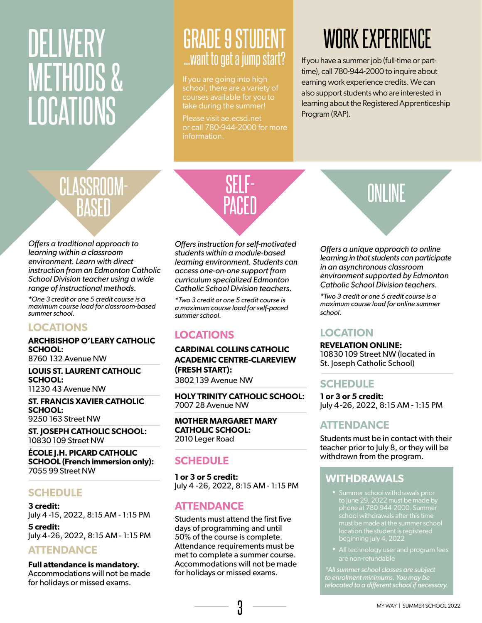### DELIVERY METHODS & LOCATIONS

### GRADE 9 STUDENT ...want to get a jump start?

If you are going into high school, there are a variety of courses available for you to take during the summer!

Please visit ae.ecsd.net or call 780-944-2000 for more information.

### WORK EXPERIENCE

If you have a summer job (full-time or parttime), call 780-944-2000 to inquire about earning work experience credits. We can also support students who are interested in learning about the Registered Apprenticeship Program (RAP).

### CLASSROOM-BASED

*Offers a traditional approach to learning within a classroom environment. Learn with direct instruction from an Edmonton Catholic School Division teacher using a wide range of instructional methods.*

*\*One 3 credit or one 5 credit course is a maximum course load for classroom-based summer school.*

### **LOCATIONS**

### **ARCHBISHOP O'LEARY CATHOLIC SCHOOL:**

8760 132 Avenue NW

**LOUIS ST. LAURENT CATHOLIC SCHOOL:** 11230 43 Avenue NW

**ST. FRANCIS XAVIER CATHOLIC SCHOOL:** 9250 163 Street NW

**ST. JOSEPH CATHOLIC SCHOOL:** 10830 109 Street NW

**ÉCOLE J.H. PICARD CATHOLIC SCHOOL (French immersion only):** 7055 99 Street NW

### **SCHEDULE**

**3 credit:** July 4 -15, 2022, 8:15 AM - 1:15 PM **5 credit:**

July 4 -26, 2022, 8:15 AM - 1:15 PM

### **ATTENDANCE**

**Full attendance is mandatory.**  Accommodations will not be made for holidays or missed exams.



*Offers instruction for self-motivated students within a module-based learning environment. Students can access one-on-one support from curriculum specialized Edmonton Catholic School Division teachers.*

*\*Two 3 credit or one 5 credit course is a maximum course load for self-paced summer school.*

### **LOCATIONS**

**CARDINAL COLLINS CATHOLIC ACADEMIC CENTRE-CLAREVIEW (FRESH START):** 3802 139 Avenue NW

**HOLY TRINITY CATHOLIC SCHOOL:** 7007 28 Avenue NW

**MOTHER MARGARET MARY CATHOLIC SCHOOL:** 2010 Leger Road

### **SCHEDULE**

**1 or 3 or 5 credit:** July 4 -26, 2022, 8:15 AM - 1:15 PM

### **ATTENDANCE**

Students must attend the first five days of programming and until 50% of the course is complete. Attendance requirements must be met to complete a summer course. Accommodations will not be made for holidays or missed exams.

### ONLINE

*Offers a unique approach to online learning in that students can participate in an asynchronous classroom environment supported by Edmonton Catholic School Division teachers.*

*\*Two 3 credit or one 5 credit course is a maximum course load for online summer school.*

### **LOCATION**

**REVELATION ONLINE:** 10830 109 Street NW (located in St. Joseph Catholic School)

### **SCHEDULE**

**1 or 3 or 5 credit:** July 4 -26, 2022, 8:15 AM - 1:15 PM

### **ATTENDANCE**

Students must be in contact with their teacher prior to July 8, or they will be withdrawn from the program.

### **WITHDRAWALS**

- Summer school withdrawals prior phone at 780-944-2000. Summer beginning July 4, 2022
- are non-refundable

*\*All summer school classes are subject to enrolment minimums. You may be relocated to a different school if necessary.*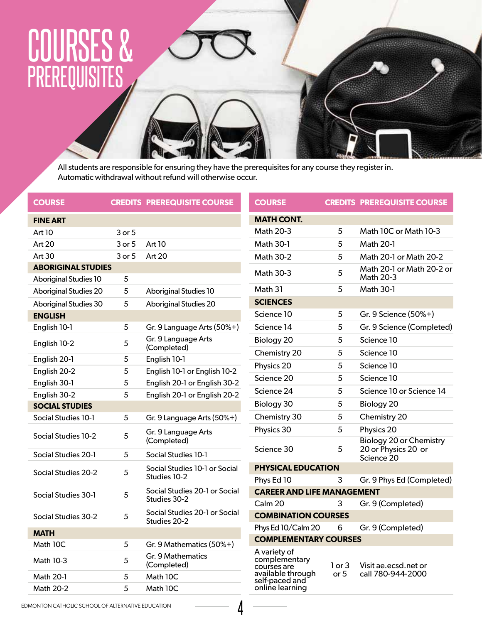### COURSES & PREREQUISITES

All students are responsible for ensuring they have the prerequisites for any course they register in. Automatic withdrawal without refund will otherwise occur.

| <b>COURSE</b>                              |        | <b>CREDITS PREREQUISITE COURSE</b>                 | <b>COURSE</b>                                                                       |            | <b>CREDITS PREREQUISITE COURSE</b>                    |
|--------------------------------------------|--------|----------------------------------------------------|-------------------------------------------------------------------------------------|------------|-------------------------------------------------------|
| <b>FINE ART</b>                            |        |                                                    | <b>MATH CONT.</b>                                                                   |            |                                                       |
| Art 10                                     | 3 or 5 |                                                    | Math 20-3                                                                           | 5          | Math 10C or Math 10-3                                 |
| Art 20                                     | 3 or 5 | <b>Art 10</b>                                      | Math 30-1                                                                           | 5          | <b>Math 20-1</b>                                      |
| Art 30                                     | 3 or 5 | Art 20                                             | <b>Math 30-2</b>                                                                    | 5          | Math 20-1 or Math 20-2                                |
| <b>ABORIGINAL STUDIES</b>                  |        |                                                    | Math 30-3                                                                           | 5          | Math 20-1 or Math 20-2 or                             |
| <b>Aboriginal Studies 10</b>               | 5      |                                                    |                                                                                     |            | Math 20-3                                             |
| <b>Aboriginal Studies 20</b>               | 5      | <b>Aboriginal Studies 10</b>                       | Math 31                                                                             | 5          | <b>Math 30-1</b>                                      |
| Aboriginal Studies 30                      | 5      | <b>Aboriginal Studies 20</b>                       | <b>SCIENCES</b>                                                                     |            |                                                       |
| <b>ENGLISH</b>                             |        |                                                    | Science 10                                                                          | 5          | Gr. 9 Science (50%+)                                  |
| English 10-1                               | 5      | Gr. 9 Language Arts (50%+)                         | Science 14                                                                          | 5          | Gr. 9 Science (Completed)                             |
| English 10-2                               | 5      | Gr. 9 Language Arts                                | Biology 20                                                                          | 5          | Science 10                                            |
| English 20-1                               | 5      | (Completed)<br>English 10-1                        | Chemistry 20                                                                        | 5          | Science 10                                            |
| English 20-2                               | 5      | English 10-1 or English 10-2                       | Physics 20                                                                          | 5          | Science 10                                            |
| English 30-1                               | 5      | English 20-1 or English 30-2                       | Science 20                                                                          | 5          | Science 10                                            |
| English 30-2                               | 5      | English 20-1 or English 20-2                       | Science 24                                                                          | 5          | Science 10 or Science 14                              |
| <b>SOCIAL STUDIES</b>                      |        |                                                    | Biology 30                                                                          | 5          | Biology 20                                            |
| Social Studies 10-1                        | 5      | Gr. 9 Language Arts (50%+)                         | Chemistry 30                                                                        | 5          | Chemistry 20                                          |
|                                            |        | Gr. 9 Language Arts                                | Physics 30                                                                          | 5          | Physics 20                                            |
| Social Studies 10-2<br>Social Studies 20-1 | 5<br>5 | (Completed)<br>Social Studies 10-1                 | Science 30                                                                          | 5          | <b>Biology 20 or Chemistry</b><br>20 or Physics 20 or |
|                                            |        |                                                    | Science 20                                                                          |            |                                                       |
| Social Studies 20-2                        | 5      | Social Studies 10-1 or Social<br>Studies 10-2      | <b>PHYSICAL EDUCATION</b>                                                           |            |                                                       |
|                                            |        |                                                    | Phys Ed 10                                                                          | 3          | Gr. 9 Phys Ed (Completed)                             |
| Social Studies 30-1                        | 5      | Social Studies 20-1 or Social<br>Studies 30-2      | <b>CAREER AND LIFE MANAGEMENT</b><br>Calm <sub>20</sub>                             | 3          |                                                       |
|                                            |        | Social Studies 20-1 or Social<br>5<br>Studies 20-2 | <b>COMBINATION COURSES</b>                                                          |            | Gr. 9 (Completed)                                     |
| Social Studies 30-2                        |        |                                                    | Phys Ed 10/Calm 20                                                                  | 6          | Gr. 9 (Completed)                                     |
| <b>MATH</b>                                |        |                                                    | <b>COMPLEMENTARY COURSES</b>                                                        |            |                                                       |
| Math 10C                                   | 5      | Gr. 9 Mathematics (50%+)                           |                                                                                     |            |                                                       |
| <b>Math 10-3</b>                           | 5      | Gr. 9 Mathematics<br>(Completed)                   | A variety of<br>complementary<br>courses are                                        | $1$ or $3$ | Visit ae.ecsd.net or                                  |
| Math 20-1                                  | 5      | Math 10C                                           | available through<br>or 5<br>call 780-944-2000<br>self-paced and<br>online learning |            |                                                       |
| <b>Math 20-2</b>                           | 5      | Math 10C                                           |                                                                                     |            |                                                       |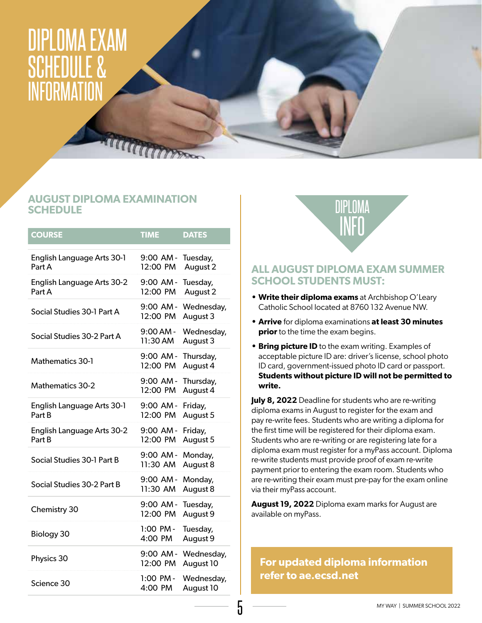### DIPLOMA EXAM SCHEDULE & INFORMATION

### **AUGUST DIPLOMA EXAMINATION SCHEDULE**

THE CHECK

| <b>COURSE</b>                        | <b>TIME</b>             | <b>DATES</b>            |
|--------------------------------------|-------------------------|-------------------------|
| English Language Arts 30-1<br>Part A | 9:00 AM -<br>12:00 PM   | Tuesday,<br>August 2    |
| English Language Arts 30-2<br>Part A | $9:00$ AM -<br>12:00 PM | Tuesday,<br>August 2    |
| Social Studies 30-1 Part A           | 9:00 AM -<br>12:00 PM   | Wednesday,<br>August 3  |
| Social Studies 30-2 Part A           | $9:00$ AM -<br>11:30 AM | Wednesday,<br>August 3  |
| Mathematics 30-1                     | 9:00 AM-<br>12:00 PM    | Thursday,<br>August 4   |
| <b>Mathematics 30-2</b>              | $9:00$ AM -<br>12:00 PM | Thursday,<br>August 4   |
| English Language Arts 30-1<br>Part B | 9:00 AM-<br>12:00 PM    | Friday,<br>August 5     |
| English Language Arts 30-2<br>Part B | $9:00$ AM -<br>12:00 PM | Friday,<br>August 5     |
| Social Studies 30-1 Part B           | $9:00$ AM -<br>11:30 AM | Monday,<br>August 8     |
| Social Studies 30-2 Part B           | 9:00 AM -<br>11:30 AM   | Monday,<br>August 8     |
| Chemistry 30                         | $9:00$ AM -<br>12:00 PM | Tuesday,<br>August 9    |
| Biology 30                           | 1:00 PM -<br>4:00 PM    | Tuesday,<br>August 9    |
| Physics 30                           | $9:00$ AM -<br>12:00 PM | Wednesday,<br>August 10 |
| Science 30                           | $1:00$ PM -<br>4:00 PM  | Wednesday,<br>August 10 |



### **ALL AUGUST DIPLOMA EXAM SUMMER SCHOOL STUDENTS MUST:**

- **• Write their diploma exams** at Archbishop O'Leary Catholic School located at 8760 132 Avenue NW.
- **• Arrive** for diploma examinations **at least 30 minutes prior** to the time the exam begins.
- **• Bring picture ID** to the exam writing. Examples of acceptable picture ID are: driver's license, school photo ID card, government-issued photo ID card or passport. **Students without picture ID will not be permitted to write.**

**July 8, 2022** Deadline for students who are re-writing diploma exams in August to register for the exam and pay re-write fees. Students who are writing a diploma for the first time will be registered for their diploma exam. Students who are re-writing or are registering late for a diploma exam must register for a myPass account. Diploma re-write students must provide proof of exam re-write payment prior to entering the exam room. Students who are re-writing their exam must pre-pay for the exam online via their myPass account.

**August 19, 2022** Diploma exam marks for August are available on myPass.

**For updated diploma information refer to ae.ecsd.net**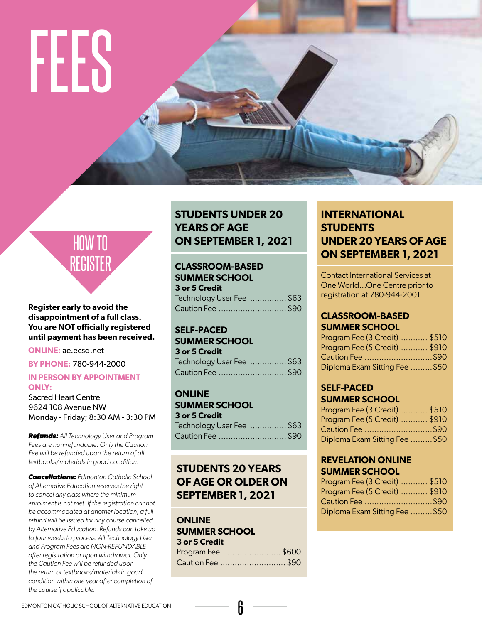# FEES

### HOW TO REGISTER

#### **Register early to avoid the disappointment of a full class. You are NOT officially registered until payment has been received.**

**ONLINE:** ae.ecsd.net

**BY PHONE:** 780-944-2000

#### **IN PERSON BY APPOINTMENT ONLY:**

Sacred Heart Centre 9624 108 Avenue NW Monday - Friday; 8:30 AM - 3:30 PM

*Refunds: All Technology User and Program Fees are non-refundable. Only the Caution Fee will be refunded upon the return of all textbooks/materials in good condition.*

*Cancellations: Edmonton Catholic School of Alternative Education reserves the right to cancel any class where the minimum enrolment is not met. If the registration cannot be accommodated at another location, a full refund will be issued for any course cancelled by Alternative Education. Refunds can take up to four weeks to process. All Technology User and Program Fees are NON-REFUNDABLE after registration or upon withdrawal. Only the Caution Fee will be refunded upon the return or textbooks/materials in good condition within one year after completion of the course if applicable.* 

### **STUDENTS UNDER 20 YEARS OF AGE ON SEPTEMBER 1, 2021**

### **CLASSROOM-BASED SUMMER SCHOOL**

**3 or 5 Credit** Technology User Fee ............... \$63 Caution Fee ............................\$90

#### **SELF-PACED SUMMER SCHOOL**

| <b>3 or 5 Credit</b>     |  |
|--------------------------|--|
| Technology User Fee \$63 |  |
| Caution Fee  \$90        |  |

#### **ONLINE SUMMER SCHOOL**

| 9911111611991 1996       |  |
|--------------------------|--|
| 3 or 5 Credit            |  |
| Technology User Fee \$63 |  |
| Caution Fee \$90         |  |

### **STUDENTS 20 YEARS OF AGE OR OLDER ON SEPTEMBER 1, 2021**

### **ONLINE SUMMER SCHOOL**

| 3 or 5 Credit     |  |
|-------------------|--|
| Program Fee \$600 |  |
| Caution Fee \$90  |  |

### **INTERNATIONAL STUDENTS UNDER 20 YEARS OF AGE ON SEPTEMBER 1, 2021**

Contact International Services at One World...One Centre prior to registration at 780-944-2001

#### **CLASSROOM-BASED SUMMER SCHOOL**

| Program Fee (3 Credit)  \$510 |  |
|-------------------------------|--|
| Program Fee (5 Credit)  \$910 |  |
| Caution Fee \$90              |  |
| Diploma Exam Sitting Fee \$50 |  |

### **SELF-PACED SUMMER SCHOOL**

| Program Fee (3 Credit)  \$510 |  |
|-------------------------------|--|
| Program Fee (5 Credit)  \$910 |  |
| Caution Fee \$90              |  |
| Diploma Exam Sitting Fee \$50 |  |

#### **REVELATION ONLINE SUMMER SCHOOL**

| Program Fee (3 Credit)  \$510 |  |
|-------------------------------|--|
| Program Fee (5 Credit)  \$910 |  |
| Caution Fee \$90              |  |
| Diploma Exam Sitting Fee \$50 |  |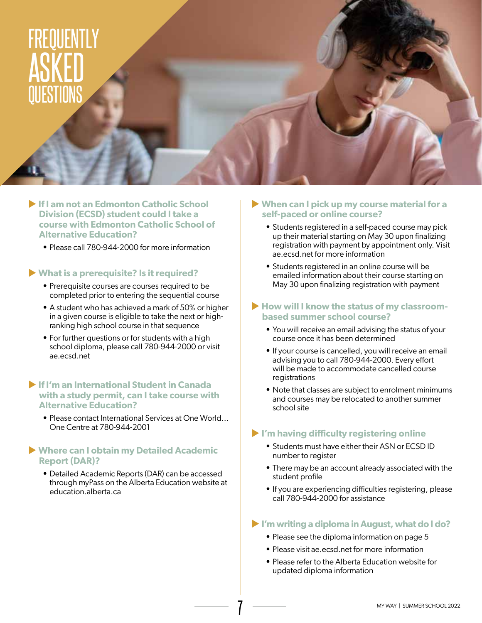### FREQUENTLY ASKED QUESTIONS

- **If I am not an Edmonton Catholic School Division (ECSD) student could I take a course with Edmonton Catholic School of Alternative Education?** 
	- **•** Please call 780-944-2000 for more information

#### u **What is a prerequisite? Is it required?**

- **•** Prerequisite courses are courses required to be completed prior to entering the sequential course
- **•** A student who has achieved a mark of 50% or higher in a given course is eligible to take the next or highranking high school course in that sequence
- **•** For further questions or for students with a high school diploma, please call 780-944-2000 or visit ae.ecsd.net

#### **If I'm an International Student in Canada with a study permit, can I take course with Alternative Education?**

**•** Please contact International Services at One World... One Centre at 780-944-2001

#### ▶ Where can I obtain my Detailed Academic **Report (DAR)?**

**•** Detailed Academic Reports (DAR) can be accessed through myPass on the Alberta Education website at education.alberta.ca

- ▶ When can I pick up my course material for a **self-paced or online course?**
	- **•** Students registered in a self-paced course may pick up their material starting on May 30 upon finalizing registration with payment by appointment only. Visit ae.ecsd.net for more information
	- **•** Students registered in an online course will be emailed information about their course starting on May 30 upon finalizing registration with payment

#### **If How will I know the status of my classroombased summer school course?**

- **•** You will receive an email advising the status of your course once it has been determined
- **•** If your course is cancelled, you will receive an email advising you to call 780-944-2000. Every effort will be made to accommodate cancelled course registrations
- **•** Note that classes are subject to enrolment minimums and courses may be relocated to another summer school site

#### **I'm having difficulty registering online**

- **•** Students must have either their ASN or ECSD ID number to register
- **•** There may be an account already associated with the student profile
- **•** If you are experiencing difficulties registering, please call 780-944-2000 for assistance

#### u **I'm writing a diploma in August, what do I do?**

- **•** Please see the diploma information on page 5
- **•** Please visit ae.ecsd.net for more information
- **•** Please refer to the Alberta Education website for updated diploma information